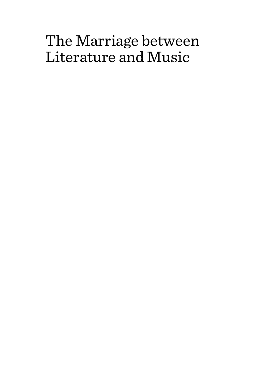# The Marriage between Literature and Music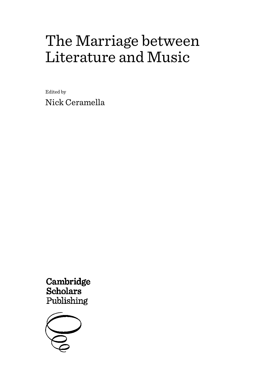# The Marriage between Literature and Music

Edited by Nick Ceramella

Cambridge **Scholars** Publishing

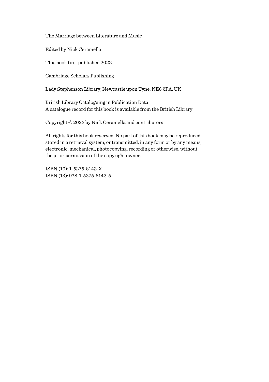The Marriage between Literature and Music

Edited by Nick Ceramella

This book first published 2022

Cambridge Scholars Publishing

Lady Stephenson Library, Newcastle upon Tyne, NE6 2PA, UK

British Library Cataloguing in Publication Data A catalogue record for this book is available from the British Library

Copyright © 2022 by Nick Ceramella and contributors

All rights for this book reserved. No part of this book may be reproduced, stored in a retrieval system, or transmitted, in any form or by any means, electronic, mechanical, photocopying, recording or otherwise, without the prior permission of the copyright owner.

ISBN (10): 1-5275-8142-X ISBN (13): 978-1-5275-8142-5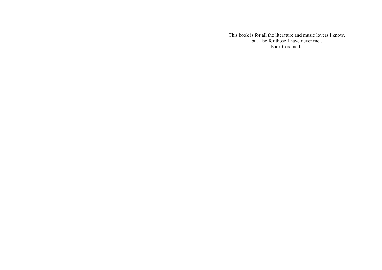This book is for all the literature and music lovers I know, but also for those I have never met. Nick Ceramella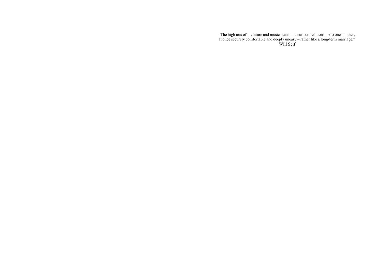"The high arts of literature and music stand in a curious relationship to one another, at once securely comfortable and deeply uneasy – rather like a long-term marriage." Will Self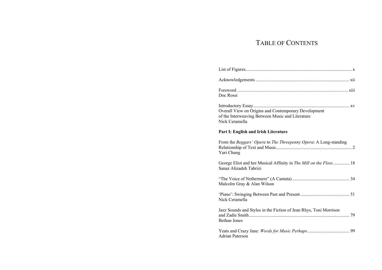# TABLE OF CONTENTS

| Doc Rossi                                                                                                                  |
|----------------------------------------------------------------------------------------------------------------------------|
| Overall View on Origins and Contemporary Development<br>of the Interweaving Between Music and Literature<br>Nick Ceramella |
| Part I: English and Irish Literature                                                                                       |
| From the Beggars' Opera to The Threepenny Opera: A Long-standing<br>Yuri Chung                                             |
| George Eliot and her Musical Affinity in The Mill on the Floss  18<br>Sanaz Alizadeh Tabrizi                               |
| Malcolm Gray & Alan Wilson                                                                                                 |
| Nick Ceramella                                                                                                             |
| Jazz Sounds and Styles in the Fiction of Jean Rhys, Toni Morrison<br><b>Bethan Jones</b>                                   |
| Adrian Paterson                                                                                                            |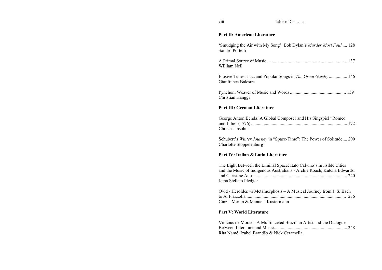### **Part II: American Literature**

'Smudging the Air with My Song': Bob Dylan's *Murder Most Foul* .... 128 Sandro Portelli A Primal Source of Music ...................................................................... 137 William Neil Elusive Tunes: Jazz and Popular Songs in *The Great Gatsby* ................ 146 Gianfranca Balestra Pynchon, Weaver of Music and Words ................................................. 159 Christian Hänggi **Part III: German Literature** 

| George Anton Benda: A Global Composer and His Singspiel "Romeo |  |
|----------------------------------------------------------------|--|
|                                                                |  |
| Christa Jansohn                                                |  |

Schubert's *Winter Journey* in "Space-Time": The Power of Solitude.... 200 Charlotte Stoppelenburg

## **Part IV: Italian & Latin Literature**

| The Light Between the Liminal Space: Italo Calvino's Invisible Cities   |  |
|-------------------------------------------------------------------------|--|
| and the Music of Indigenous Australians - Archie Roach, Kutcha Edwards, |  |
|                                                                         |  |
| Jema Stellato Pledger                                                   |  |

| Ovid - Heroides vs Metamorphosis - A Musical Journey from J. S. Bach |  |
|----------------------------------------------------------------------|--|
|                                                                      |  |
| Cinzia Merlin & Manuela Kustermann                                   |  |

## **Part V: World Literature**

| Vinicius de Moraes: A Multifaceted Brazilian Artist and the Dialogue |  |
|----------------------------------------------------------------------|--|
|                                                                      |  |
| Rita Namé, Izabel Brandão & Nick Ceramella                           |  |

viii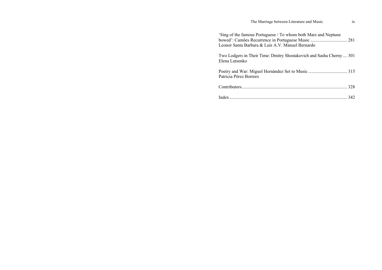| The Marriage between Literature and Music                                                                                                                                | 1X |
|--------------------------------------------------------------------------------------------------------------------------------------------------------------------------|----|
| 'Sing of the famous Portuguese / To whom both Mars and Neptune<br>bowed': Camões Recurrence in Portuguese Music  281<br>Leonor Santa Barbara & Luís A.V. Manuel Bernardo |    |
| Two Lodgers in Their Time: Dmitry Shostakovich and Sasha Cherny 301<br>Elena Lutsenko                                                                                    |    |
| Patricia Pérez Borrero                                                                                                                                                   |    |
|                                                                                                                                                                          |    |
|                                                                                                                                                                          |    |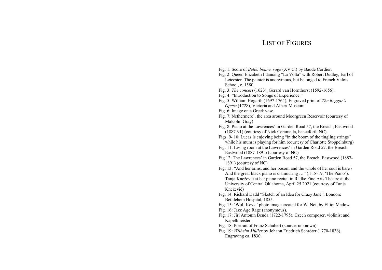# LIST OF FIGURES

- Fig. 1: Score of *Belle, bonne, sage* (XV C.) by Baude Cordier.
- Fig. 2: Queen Elizabeth I dancing "La Volta" with Robert Dudley, Earl of Leicester. The painter is anonymous, but belonged to French Valois School, c. 1580.
- Fig. 3: *The concert* (1623), Gerard van Hornthorst (1592-1656).
- Fig. 4: "Introduction to Songs of Experience."
- Fig. 5: William Hogarth (1697-1764), Engraved print of *The Beggar's Opera* (1728), Victoria and Albert Museum.
- Fig. 6: Image on a Greek vase.
- Fig. 7: Nethermere', the area around Moorgreen Reservoir (courtesy of Malcolm Gray)
- Fig. 8: Piano at the Lawrences' in Garden Road 57, the Breach, Eastwood (1887-91) (courtesy of Nick Ceramella, henceforth NC)
- Figs. 9- 10: Lucas is enjoying being "in the boom of the tingling strings" while his mum is playing for him (courtesy of Charlotte Stoppelnburg)
- Fig. 11: Living room at the Lawrences' in Garden Road 57, the Breach, Eastwood (1887-1891) (courtesy of NC)
- Fig.12: The Lawrences' in Garden Road 57, the Breach, Eastwood (1887- 1891) (courtesy of NC)
- Fig. 13: "And her arms, and her bosom and the whole of her soul is bare / And the great black piano is clamouring …" (ll 18-19, 'The Piano'). Tanja Knežević at her piano recital in Radke Fine Arts Theatre at the University of Central Oklahoma, April 25 2021 (courtesy of Tanja Knežević)
- Fig. 14. Richard Dadd "Sketch of an Idea for Crazy Jane". London: Bethlehem Hospital, 1855.
- Fig. 15: 'Wolf Keys,' photo image created for W. Neil by Elliot Madow.
- Fig. 16: Jazz Age Rage (anonymous).
- Fig. 17: Jiří Antonín Benda (1722-1795), Czech composer, violinist and Kapellmeister.
- Fig. 18: Portrait of Franz Schubert (source: unknown).
- Fig. 19: *Wilhelm Müller* by Johann Friedrich Schröter (1770-1836). Engraving ca. 1830.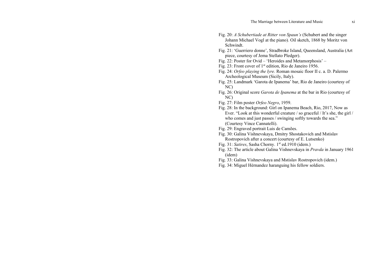- Fig. 20: *A Schubertiade at Ritter von Spaun's* (Schubert and the singer Johann Michael Vogl at the piano)*.* Oil sketch, 1868 by Moritz von Schwindt.
- Fig. 21: 'Guerriero donne', Stradbroke Island, Queensland, Australia (Art piece, courtesy of Jema Stellato Pledger).
- Fig. 22: Poster for Ovid 'Heroides and Metamorphosis' –
- Fig. 23: Front cover of 1st edition, Rio de Janeiro 1956.
- Fig. 24: *Orfeo playing the lyre.* Roman mosaic floor II c. a. D. Palermo Archeological Museum (Sicily, Italy).
- Fig. 25: Landmark 'Garota de Ipanema' bar, Rio de Janeiro (courtesy of NC)
- Fig. 26: Original score *Garota de Ipanema* at the bar in Rio (courtesy of NC)
- Fig. 27: Film poster *Orfeo Negro*, 1959.
- Fig. 28: In the background: Girl on Ipanema Beach, Rio, 2017, Now as Ever. "Look at this wonderful creature / so graceful / It's she, the girl / who comes and just passes / swinging softly towards the sea." (Courtesy Vince Cannatelli).
- Fig. 29: Engraved portrait Luis de Camões.
- Fig. 30: Galina Vishnevskaya, Dmitry Shostakovich and Mstislav Rostropovich after a concert (courtesy of E. Lutsenko)
- Fig. 31: *Satires*, Sasha Chorny. 1<sup>st</sup> ed.1910 (idem.)
- Fig. 32: The article about Galina Vishnevskaya in *Pravda* in January 1961 (idem)
- Fig. 33: Galina Vishnevskaya and Mstislav Rostropovich (idem.)
- Fig. 34: Miguel Hérnandez haranguing his fellow soldiers.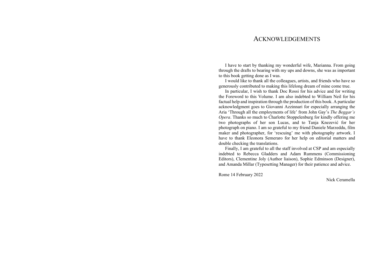## ACKNOWLEDGEMENTS

I have to start by thanking my wonderful wife, Marianna. From going through the drafts to bearing with my ups and downs, she was as important to this book getting done as I was.

I would like to thank all the colleagues, artists, and friends who have so generously contributed to making this lifelong dream of mine come true.

In particular, I wish to thank Doc Rossi for his advice and for writing the Foreword to this Volume. I am also indebted to William Neil for his factual help and inspiration through the production of this book. A particular acknowledgment goes to Giovanni Azzinnari for especially arranging the Aria 'Through all the employments of life' from John Gay's *The Beggar's Opera*. Thanks so much to Charlotte Stoppelenburg for kindly offering me two photographs of her son Lucas, and to Tanja Knezević for her photograph on piano. I am so grateful to my friend Daniele Marzeddu, film maker and photographer, for 'rescuing' me with photography artwork. I have to thank Eleonora Semeraro for her help on editorial matters and double checking the translations.

Finally, I am grateful to all the staff involved at CSP and am especially indebted to Rebecca Gladders and Adam Rummens (Commissioning Editors), Clementine Joly (Author liaison), Sophie Edminson (Designer), and Amanda Millar (Typesetting Manager) for their patience and advice.

Rome 14 February 2022

Nick Ceramella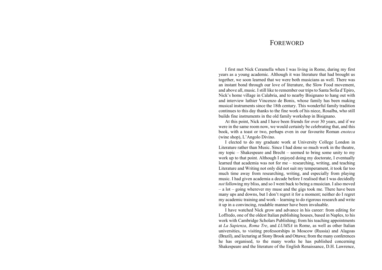## **FOREWORD**

I first met Nick Ceramella when I was living in Rome, during my first years as a young academic. Although it was literature that had brought us together, we soon learned that we were both musicians as well. There was an instant bond through our love of literature, the Slow Food movement, and above all, music. I still like to remember our trips to Santa Sofia d'Epiro, Nick's home village in Calabria, and to nearby Bisignano to hang out with and interview luthier Vincenzo de Bonis, whose family has been making musical instruments since the 18th century. This wonderful family tradition continues to this day thanks to the fine work of his niece, Rosalba, who still builds fine instruments in the old family workshop in Bisignano.

At this point, Nick and I have been friends for over 30 years, and if we were in the same room now, we would certainly be celebrating that, and this book, with a toast or two, perhaps even in our favourite Roman *enoteca*  (wine shop), L'Angolo Divino.

I elected to do my graduate work at University College London in Literature rather than Music. Since I had done so much work in the theatre, my topic – Shakespeare and Brecht – seemed to bring some unity to my work up to that point. Although I enjoyed doing my doctorate, I eventually learned that academia was not for me – researching, writing, and teaching Literature and Writing not only did not suit my temperament, it took far too much time away from researching, writing, and especially from playing music. I had given academia a decade before I realised that I was decidedly *not* following my bliss, and so I went back to being a musician. I also moved – a lot – going wherever my muse and the gigs took me. There have been many ups and downs, but I don't regret it for a moment; neither do I regret my academic training and work – learning to do rigorous research and write it up in a convincing, readable manner have been invaluable.

I have watched Nick grow and advance in his career: from editing for Loffredo, one of the oldest Italian publishing houses, based in Naples, to his work with Cambridge Scholars Publishing; from his teaching appointments at *La Sapienza*, *Roma Tre*, and *LUMSA* in Rome, as well as other Italian universities, to visiting professorships in Moscow (Russia) and Alagoas (Brazil), and lecturing at Stony Brook and Ottawa; from the many conferences he has organised, to the many works he has published concerning Shakespeare and the literature of the English Renaissance, D.H. Lawrence,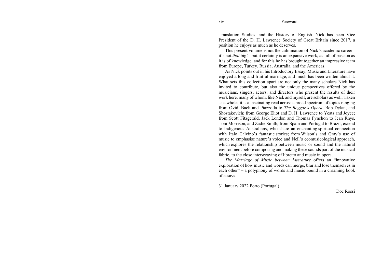Translation Studies, and the History of English. Nick has been Vice President of the D. H. Lawrence Society of Great Britain since 2017, a position he enjoys as much as he deserves.

This present volume is not the culmination of Nick's academic career it's not *that* big! - but it certainly is an expansive work, as full of passion as it is of knowledge, and for this he has brought together an impressive team from Europe, Turkey, Russia, Australia, and the Americas.

As Nick points out in his Introductory Essay, Music and Literature have enjoyed a long and fruitful marriage, and much has been written about it. What sets this collection apart are not only the many scholars Nick has invited to contribute, but also the unique perspectives offered by the musicians, singers, actors, and directors who present the results of their work here, many of whom, like Nick and myself, are scholars as well. Taken as a whole, it is a fascinating read across a broad spectrum of topics ranging from Ovid, Bach and Piazzolla to *The Beggar's Opera*, Bob Dylan, and Shostakovich; from George Eliot and D. H. Lawrence to Yeats and Joyce; from Scott Fitzgerald, Jack London and Thomas Pynchon to Jean Rhys, Toni Morrison, and Zadie Smith; from Spain and Portugal to Brazil, extend to Indigenous Australians, who share an enchanting spiritual connection with Italo Calvino's fantastic stories; from Wilson's and Gray's use of music to emphasise nature's voice and Neil's ecomusicological approach, which explores the relationship between music or sound and the natural environment before composing and making these sounds part of the musical fabric, to the close interweaving of libretto and music in opera.

*The Marriage of Music between Literature* offers an "innovative exploration of how music and words can merge, blur and lose themselves in each other" – a polyphony of words and music bound in a charming book of essays.

31 January 2022 Porto (Portugal)

Doc Rossi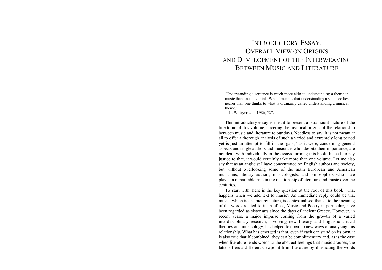# INTRODUCTORY ESSAY:OVERALL VIEW ON ORIGINS AND DEVELOPMENT OF THE INTERWEAVING BETWEEN MUSIC AND LITERATURE

'Understanding a sentence is much more akin to understanding a theme in music than one may think. What I mean is that understanding a sentence lies nearer than one thinks to what is ordinarily called understanding a musical theme.'

—L. Wittgenstein, 1986, 527.

This introductory essay is meant to present a paramount picture of the title topic of this volume, covering the mythical origins of the relationship between music and literature to our days. Needless to say, it is not meant at all to offer a thorough analysis of such a varied and extremely long period yet is just an attempt to fill in the 'gaps,' as it were, concerning general aspects and single authors and musicians who, despite their importance, are not dealt with individually in the essays forming this book. Indeed, to pay justice to that, it would certainly take more than one volume. Let me also say that as an anglicist I have concentrated on English authors and society, but without overlooking some of the main European and American musicians, literary authors, musicologists, and philosophers who have played a remarkable role in the relationship of literature and music over the centuries.

To start with, here is the key question at the root of this book: what happens when we add text to music? An immediate reply could be that music, which is abstract by nature, is contextualised thanks to the meaning of the words related to it. In effect, Music and Poetry in particular, have been regarded as sister arts since the days of ancient Greece. However, in recent years, a major impulse coming from the growth of a varied interdisciplinary research, involving new literary and linguistic critical theories and musicology, has helped to open up new ways of analysing this relationship. What has emerged is that, even if each can stand on its own, it is also true that if combined, they can be complimentary and, as is the case when literature lends words to the abstract feelings that music arouses, the latter offers a different viewpoint from literature by illustrating the words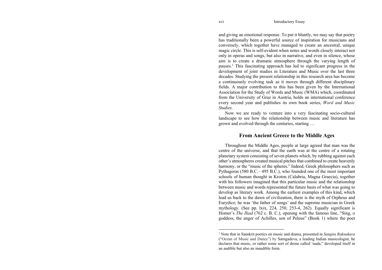and giving an emotional response. To put it bluntly, we may say that poetry has traditionally been a powerful source of inspiration for musicians and conversely, which together have managed to create an ancestral, unique magic circle. This is self-evident when notes and words closely interact not only in operas and songs, but also in narrative, and even in silence, whose aim is to create a dramatic atmosphere through the varying length of pauses.1 This fascinating approach has led to significant progress in the development of joint studies in Literature and Music over the last three decades. Studying the present relationship in this research area has become a continuously evolving task as it moves through different disciplinary fields. A major contribution to this has been given by the International Association for the Study of Words and Music (WMA) which, coordinated from the University of Graz in Austria, holds an international conference every second year and publishes its own book series, *Word and Music Studies*.

Now we are ready to venture into a very fascinating socio-cultural landscape to see how the relationship between music and literature has grown and evolved through the centuries, starting …

#### **From Ancient Greece to the Middle Ages**

Throughout the Middle Ages, people at large agreed that man was the centre of the universe, and that the earth was at the centre of a rotating planetary system consisting of seven planets which, by rubbing against each other's atmospheres created musical pitches that combined to create heavenly harmony, or the "music of the spheres." Indeed, Greek philosophers such as Pythagoras (580 B.C.– 495 B.C.), who founded one of the most important schools of human thought in Kroton (Calabria, Magna Graecia), together with his followers imagined that this particular music and the relationship between music and words represented the future basis of what was going to develop as literary work. Among the earliest examples of this kind, which lead us back to the dawn of civilization, there is the myth of Orpheus and Eurydice; he was 'the father of songs' and the supreme musician in Greek mythology. (See pp. lxix, 224, 250, 253-4, 262). Equally significant is Homer's *The Iliad* (762 c. B. C.), opening with the famous line, "Sing, o goddess, the anger of Achilles, son of Peleus" (Book 1) where the poet

<sup>1</sup> Note that in Sanskrit poetics on music and drama, presented in *Sangita Raknakara* ("Ocean of Music and Dance") by Sarngadeva, a leading Indian musicologist, he declares that music, or rather some sort of drone called 'nada," developed itself in an audible but also an inaudible form.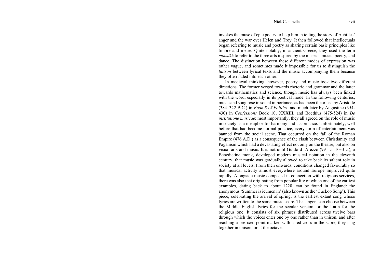invokes the muse of epic poetry to help him in telling the story of Achilles' anger and the war over Helen and Troy. It then followed that intellectuals began referring to music and poetry as sharing certain basic principles like timbre and metre. Quite notably, in ancient Greece, they used the term *mousik*é to refer to the three arts inspired by the muses – music, poetry, and dance. The distinction between these different modes of expression was rather vague, and sometimes made it impossible for us to distinguish the *liaison* between lyrical texts and the music accompanying them because they often faded into each other.

In medieval thinking, however, poetry and music took two different directions. The former verged towards rhetoric and grammar and the latter towards mathematics and science, though music has always been linked with the word, especially in its poetical mode. In the following centuries, music and song rose in social importance, as had been theorised by Aristotle (384–322 B.C.) in *Book 8* of *Politics*, and much later by Augustine (354- 430) in *Confessions* Book 10, XXXIII, and Boethius (475-524) in *De institutione musicae*; most importantly, they all agreed on the role of music in society as a metaphor for harmony and accordance. Unfortunately, well before that had become normal practice, every form of entertainment was banned from the social scene. That occurred on the fall of the Roman Empire (476 A.D.) as a consequence of the clash between Christianity and Paganism which had a devastating effect not only on the theatre, but also on visual arts and music. It is not until Guido d' Arezzo (991 c.–1033 c.), a Benedictine monk, developed modern musical notation in the eleventh century, that music was gradually allowed to take back its salient role in society at all levels. From then onwards, conditions changed favourably so that musical activity almost everywhere around Europe improved quite rapidly. Alongside music composed in connection with religious services, there was also that originating from popular life of which one of the earliest examples, dating back to about 1220, can be found in England: the anonymous 'Summer is icumen in' (also known as the 'Cuckoo Song'). This piece, celebrating the arrival of spring, is the earliest extant song whose lyrics are written to the same music score. The singers can choose between the Middle English lyrics for the secular version, or the Latin for the religious one. It consists of six phrases distributed across twelve bars through which the voices enter one by one rather than in unison, and after reaching a prefixed point marked with a red cross in the score, they sing together in unison, or at the octave.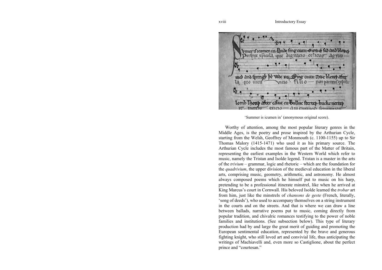omer if raimen in Lhude fing cuau Gwy of led and bloy of eripio xpicola que dignacio celicuo - sorto med and twingth be wede my. Sing away awe bleuet after la mo uttil  $r<sub>0</sub>$ tilio non varcent exposit Lomb lhout after calue ou bulluc thereb bucke nerteb

'Summer is icumen in' (anonymous original score).

Worthy of attention, among the most popular literary genres in the Middle Ages, is the poetry and prose inspired by the Arthurian Cycle, starting from the Welsh, Geoffrey of Monmouth (c. 1100-1155) up to Sir Thomas Malory (1415-1471) who used it as his primary source. The Arthurian Cycle includes the most famous part of the Matter of Britain, representing the earliest examples in the Western World which refer to music, namely the Tristan and Isolde legend. Tristan is a master in the arts of the *trivium* – grammar, logic and rhetoric – which are the foundation for the *quadrivium*, the upper division of the medieval education in the liberal arts, comprising music, geometry, arithmetic, and astronomy. He almost always composed poems which he himself put to music on his harp, pretending to be a professional itinerate minstrel, like when he arrived at King Marcus's court in Cornwall. His beloved Isolde learned the *trobar* art from him, just like the minstrels of *chansons de geste* (French, literally, 'song of deeds'), who used to accompany themselves on a string instrument in the courts and on the streets. And that is where we can draw a line between ballads, narrative poems put to music, coming directly from popular tradition, and chivalric romances testifying to the power of noble families and institutions. (See subsection below). This type of literary production had by and large the great merit of guiding and promoting the European sentimental education, represented by the brave and generous fighting knight, who still loved art and convivial life, thus anticipating the writings of Machiavelli and, even more so Castiglione, about the perfect prince and "courtesan."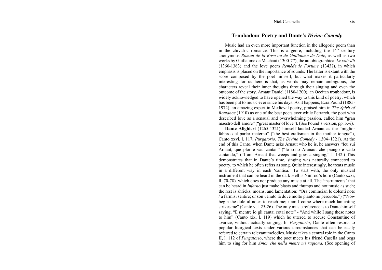#### **Troubadour Poetry and Dante's** *Divine Comedy*

Music had an even more important function in the allegoric poem than in the chivalric romance. This is a genre, including the  $14<sup>th</sup>$  century anonymous *Roman de la Rose ou de Guillaume de Dole*, as well as two works by Guillaume de Machaut (1300-77), the autobiographical *Le voir dit*  (1360-1363) and the love poem *Remède de Fortune* (1343?), in which emphasis is placed on the importance of sounds. The latter is extant with the score composed by the poet himself, but what makes it particularly interesting for us here is that, as words may remain ambiguous, the characters reveal their inner thoughts through their singing and even the outcome of the story. Arnaut Daniel (1180-1200), an Occitan troubadour, is widely acknowledged to have opened the way to this kind of poetry, which has been put to music ever since his days. As it happens, Ezra Pound (1885- 1972), an amazing expert in Medieval poetry, praised him in *The Spirit of Romance* (1910) as one of the best poets ever while Petrarch, the poet who described love as a sensual and overwhelming passion, called him "gran maestro dell'amore" ("great master of love"). (See Pound's version, pp. lxvi).

**Dante Alighieri** (1265-1321) himself lauded Arnaut as the "miglior fabbro del parlar materno" ("the best craftsman in the mother tongue"), Canto xxvi, l. 117, *Purgatorio*, *The Divine Comedy -* 1304–1321). At the end of this Canto, when Dante asks Arnaut who he is, he answers "Ieu sui Arnaut, que plor e vau cantan" ("Io sono Aranaut che piango e vado cantando," ("I am Arnaut that weeps and goes a-singing," l. 142.) This demonstrates that in Dante's time, singing was naturally connected to poetry, to which he often refers as song. Quite interestingly, he treats music in a different way in each 'cantica.' To start with, the only musical instrument that can be heard in the dark Hell is Nimrod's horn (Canto xxxi, ll. 70-78). which does not produce any music at all. The 'instruments' that can be heard in *Inferno* just make blasts and thumps and not music as such; the rest is shrieks, moans, and lamentation: "Ora comincian le dolenti note / a farmisi sentire; or son venuto là dove molto pianto mi percuote.") ("Now begin the doleful notes to reach me; / am I come where much lamenting strikes me" (Canto v, l. 25-26). The only music reference is to Dante himself saying, "E mentre io gli cantai cotai note" - "And while I sang these notes to him" (Canto xix, l. 119) which he uttered to accuse Constantine of avarice, without actually singing. In *Purgatorio*, Dante often resorts to popular liturgical texts under various circumstances that can be easily referred to certain relevant melodies. Music takes a central role in the Canto II, l. 112 of *Purgatorio*, where the poet meets his friend Casella and begs him to sing for him *Amor che nella mente mi ragiona.* (See opening of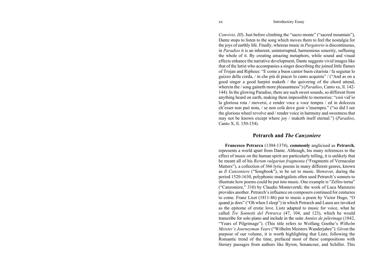*Convivio, III*). Just before climbing the "sacro monte" ("sacred mountain"), Dante stops to listen to the song which moves them to feel the nostalgia for the joys of earthly life. Finally, whereas music in *Purgatorio* is discontinuous, in *Paradiso* it is an inherent, uninterrupted, harmonious sonority, suffusing the whole of it. By creating amazing metaphors, while sound and visual effects enhance the narrative development, Dante suggests vivid images like that of the lutist who accompanies a singer describing the joined little flames of Trojan and Ripheus: "E come a buon cantor buon citarista / fa seguitar lo guizzo della corda, / in che più di piacer lo canto acquista" / ("And as on a good singer a good harpist maketh / the quivering of the chord attend, wherein the / song gaineth more pleasantness") (*Paradiso*, Canto xx, ll. 142- 144). In the glowing Paradise, there are such sweet sounds, so different from anything heard on earth, making them impossible to memorise: "così vid'io la gloriosa rota / moversi, e render voce a voce tempra / ed in dolcezza ch'esser non può nota, / se non colà dove gioir s'insempra." ("so did I see the glorious wheel revolve and / render voice in harmony and sweetness that may not be known except where joy / maketh itself eternal.") (*Paradiso*, Canto X, ll. 150-154).

#### **Petrarch and** *The Canzoniere*

**Francesco Petrarca** (1304-1374), **commonly** anglicised as **Petrarch**, represents a world apart from Dante. Although, his many references to the effect of music on the human spirit are particularly telling, it is unlikely that he meant all of his *Rerum vulgariun fragmenta* ("Fragments of Vernacular Matters"), a collection of 366 lyric poems in many different genres, known as *Il Canzoniere* ("Songbook"), to be set to music. However, during the period 1520-1630, polyphonic madrigalists often used Petrarch's sonnets to illustrate how poems could be put into music. One example is "Zefiro torna" ("Canzoniere," 310) by Claudio Montevertdi; the work of Luca Marenzio provides another. Petrarch's influence on composers continued for centuries to come. Franz Liszt (1811-86) put to music a poem by Victor Hugo, "O quand je dors" ("Oh when I sleep") in which Petrarch and Laura are invoked as the epitome of erotic love. Listz adapted to music for voice, what he called *Tre Sonnetti del Petrarca* (47, 104, and 123), which he would transcribe for solo piano and include in the suite *Années de pèlerinage* (1842, "Years of Pilgrimage"). (This title refers to Wolfang Goethe's *Wilhelm Meister's Journeyman Years* ("Wilhelm Meisters Wanderjahre"). Given the purpose of our volume, it is worth highlighting that Listz, following the Romantic trend of the time, prefaced most of these compositions with literary passages from authors like Byron, Senancour, and Schiller. This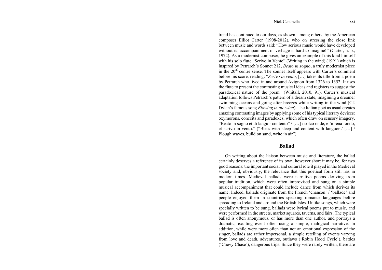#### Nick Ceramella xxi

trend has continued to our days, as shown, among others, by the American composer Elliot Carter (1908-2012), who on stressing the close link between music and words said: "How serious music would have developed without its accompaniment of verbage is hard to imagine!" (Carter, n. p., 1972). As a modernist composer, he gives an example of this kind himself with his solo flute "Scrivo in Vento" (Writing in the wind) (1991) which is inspired by Petrarch's Sonnet 212, *Beato in sogno*, a truly modernist piece in the 20<sup>th</sup> centre sense. The sonnet itself appears with Carter's comment before his score, reading: "*Scrivo in vento*, […] takes its title from a poem by Petrarch who lived in and around Avignon from 1326 to 1352. It uses the flute to present the contrasting musical ideas and registers to suggest the paradoxical nature of the poem" (Whitall, 2010, 91). Carter's musical adaptation follows Petrarch's pattern of a dream state, imagining a dreamer swimming oceans and going after breezes while writing in the wind (Cf. Dylan's famous song *Blowing in the wind*). The Italian poet as usual creates amazing contrasting images by applying some of his typical literary devices: oxymorons, conceits and paradoxes, which often draw on sensory imagery. "Beato in sogno et di languir contento" / […] / solco onde, e 'n rena fondo, et scrivo in vento." ("Bless with sleep and content with languor / […] / Plough waves, build on sand, write in air").

#### **Ballad**

On writing about the liaison between music and literature, the ballad certainly deserves a reference of its own, however short it may be, for two good reasons: the important social and cultural role it played in the Medieval society and, obviously, the relevance that this poetical form still has in modern times. Medieval ballads were narrative poems deriving from popular tradition, which were often improvised and sung on a simple musical accompaniment that could include dance from which derives its name. Indeed, ballads originate from the French 'chanson' / 'ballade' and people enjoyed them in countries speaking romance languages before spreading to Ireland and around the British Isles. Unlike songs, which were specially written to be sung, ballads were lyrical poems put to music, and were performed in the streets, market squares, taverns, and fairs. The typical ballad is often anonymous, or has more than one author, and portrays a dramatic, exciting event often using a simple, dialogical narrative. In addition, while were more often than not an emotional expression of the singer, ballads are rather impersonal, a simple retelling of events varying from love and death, adventures, outlaws ('Robin Hood Cycle'), battles ('Chevy Chase'), dangerous trips. Since they were rarely written, there are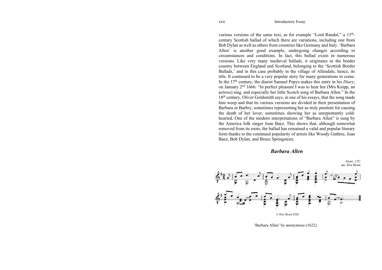various versions of the same text, as for example "Lord Randal," a 13thcentury Scottish ballad of which there are variations, including one from Bob Dylan as well as others from countries like Germany and Italy. 'Barbara Allen' is another good example, undergoing changes according to circumstances and conditions. In fact, this ballad exists in numerous versions. Like very many medieval ballads, it originates in the border country between England and Scotland, belonging to the 'Scottish Border Ballads,' and in this case probably in the village of Allendale, hence, its title. It continued to be a very popular story for many generations to come. In the 17th century, the diarist Samuel Pepys makes this entry in his *Diary*, on January 2nd 1666: "In perfect pleasure I was to hear her (Mrs Knipp, an actress) sing, and especially her little Scotch song of Barbara Allen." In the 18<sup>th</sup> century, Oliver Goldsmith says, in one of his essays, that the song made him weep and that its various versions are divided in their presentation of Barbara or Barbry, sometimes representing her as truly penitent for causing the death of her lover, sometimes showing her as unrepentantly coldhearted. One of the modern interpretations of "Barbara Allen" is sung by the America folk singer Joan Baez. This shows that, although somewhat removed from its roots, the ballad has remained a valid and popular literary form thanks to the continued popularity of artists like Woody Guthrie, Joan Baez, Bob Dylan, and Bruce Springsteen.

### *Barbara Allen*



'Barbara Allen' by anonymous (1622).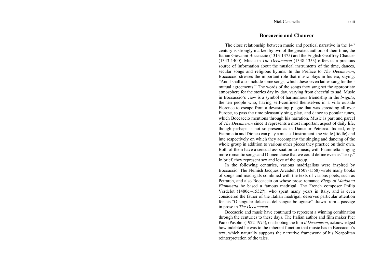#### **Boccaccio and Chaucer**

The close relationship between music and poetical narrative in the  $14<sup>th</sup>$ century is strongly marked by two of the greatest authors of their time, the Italian Giovanni Boccaccio (1313-1375) and the English Geoffrey Chaucer (1343-1400). Music in *The Decameron* (1348-1353) offers us a precious source of information about the musical instruments of the time, dances, secular songs and religious hymns. In the Preface to *The Decameron*, Boccaccio stresses the important role that music plays in his era, saying: "And I shall also include some songs, which these seven ladies sang for their mutual agreements." The words of the songs they sang set the appropriate atmosphere for the stories day by day, varying from cheerful to sad. Music in Boccaccio's view is a symbol of harmonious friendship in the *brigata*, the ten people who, having self-confined themselves in a villa outside Florence to escape from a devastating plague that was spreading all over Europe, to pass the time pleasantly sing, play, and dance to popular tunes, which Boccaccio mentions through his narration. Music is part and parcel of *The Decameron* since it represents a most important aspect of daily life, though perhaps is not so present as in Dante or Petrarca. Indeed, only Fiammetta and Dioneo can play a musical instrument, the vielle (fiddle) and lute respectively on which they accompany the singing and dancing of the whole group in addition to various other pieces they practice on their own. Both of them have a sensual association to music, with Fiammetta singing more romantic songs and Dioneo those that we could define even as "sexy." In brief, they represent sex and love of the group.

In the following centuries, various madrigalists were inspired by Boccaccio*.* The Flemish Jacques Arcadelt (1507-1568) wrote many books of songs and madrigals combined with the texts of various poets, such as Petrarch, and also Boccaccio on whose prose romance *Elegy of Madonna Fiammetta* he based a famous madrigal. The French composer Philip Verdelot (1480c.–1552?), who spent many years in Italy, and is even considered the father of the Italian madrigal, deserves particular attention for his "O singular dolcezza del sangue bolognese" drawn from a passage in prose in *The Decameron.* 

Boccaccio and music have continued to represent a winning combination through the centuries to these days. The Italian author and film maker Pier Paolo Pasolini (1922-1975), on shooting the film *Il Decameron*, acknowledged how indebted he was to the inherent function that music has in Boccaccio's text, which naturally supports the narrative framework of his Neapolitan reinterpretation of the tales.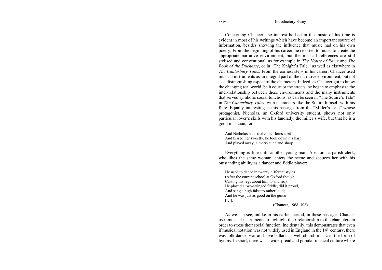Concerning Chaucer, the interest he had in the music of his time is evident in most of his writings which have become an important source of information, besides showing the influence that music had on his own poetry. From the beginning of his career, he resorted to music to create the appropriate narrative environment, but the musical references are still stylised and conventional, as for example in *The House of Fame* and *The Book of the Duchesse*, or in "The Knight's Tale," as well as elsewhere in *The Canterbury Tales*. From the earliest steps in his career, Chaucer used musical instruments as an integral part of the narrative environment, but not as a distinguishing aspect of the characters. Indeed, as Chaucer got to know the changing real world, be it court or the streets, he began to emphasize the inter-relationship between these environments and the many instruments that served symbolic social functions, as can be seen in "The Squire's Tale" in *The Canterbury Tales*, with characters like the Squire himself with his flute. Equally interesting is this passage from the "Miller's Tale" whose protagonist, Nicholas, an Oxford university student, shows not only particular lover's skills with his landlady, the miller's wife, but that he is a good musician, too:

And Nicholas had stroked her loins a bit And kissed her sweetly, he took down his harp And played away, a merry tune and sharp.

Everything is fine until another young man, Absalom, a parish clerk, who likes the same woman, enters the scene and seduces her with his outstanding ability as a dancer and fiddle player:

He used to dance in twenty different styles (After the current school at Oxford though, Casting his legs about him to and fro). He played a two-stringed fiddle, did it proud, And sang a high falsetto rather loud; And he was just as good on the guitar […]. (Chaucer, 1968, 108)

As we can see, unlike in his earlier period, in these passages Chaucer uses musical instruments to highlight their relationship to the characters in order to stress their social function. Incidentally, this demonstrates that even if musical notation was not widely used in England in the  $14<sup>th</sup>$  century, there was folk dance, war and love ballads as well church music in the form of hymns. In short, there was a widespread and popular musical culture where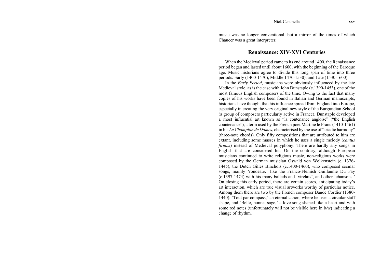music was no longer conventional, but a mirror of the times of which Chaucer was a great interpreter.

#### **Renaissance: XIV-XVI Centuries**

When the Medieval period came to its end around 1400, the Renaissance period began and lasted until about 1600, with the beginning of the Baroque age. Music historians agree to divide this long span of time into three periods. Early (1400-1470), Middle 1470-1530), and Late (1530-1600).

In the *Early Period*, musicians were obviously influenced by the late Medieval style, as is the case with John Dunstaple (c.1390-1453), one of the most famous English composers of the time. Owing to the fact that many copies of his works have been found in Italian and German manuscripts, historians have thought that his influence spread from England into Europe, especially in creating the very original new style of the Burgundian School (a group of composers particularly active in France). Dunstaple developed a most influential art known as "la contenance angloise" ("the English countenance"), a term used by the French poet Martine le Franc (1410-1461) in his *Le Champion de Dames*, characterised by the use of "triadic harmony" (three-note chords). Only fifty compositions that are attributed to him are extant, including some masses in which he uses a single melody (*cantus firmus*) instead of Medieval polyphony. There are hardly any songs in English that are considered his. On the contrary, although European musicians continued to write religious music, non-religious works were composed by the German musician Oswald von Wolkenstein (c. 1376- 1445), the Dutch Gilles Binchois (c.1400-1460), who composed secular songs, mainly 'rondeaux' like the Franco-Flemish Guillaume Du Fay (c.1397-1474) with his many ballads and 'virelais', and other 'chansons.' On closing this early period, there are certain scores, anticipating today's art interaction, which are true visual artworks worthy of particular notice. Among them there are two by the French composer Baude Cordier (1380- 1440): 'Tout par compass,' an eternal canon, where he uses a circular staff shape, and 'Belle, bonne, sage,' a love song shaped like a heart and with some red notes (unfortunately will not be visible here in b/w) indicating a change of rhythm.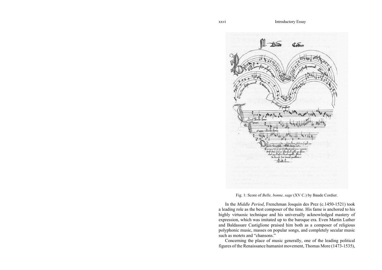

Fig. 1: Score of *Belle, bonne, sage* (XV C.) by Baude Cordier.

In the *Middle Period*, Frenchman Josquin des Prez (c.1450-1521) took a leading role as the best composer of the time. His fame is anchored to his highly virtuosic technique and his universally acknowledged mastery of expression, which was imitated up to the baroque era. Even Martin Luther and Baldassare Castiglione praised him both as a composer of religious polyphonic music, masses on popular songs, and completely secular music such as motets and "chansons."

Concerning the place of music generally, one of the leading political figures of the Renaissance humanist movement, Thomas More (1473-1535),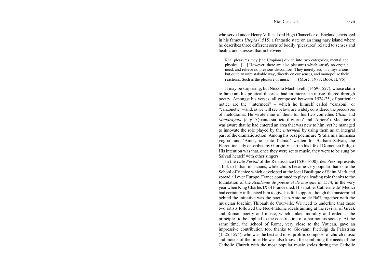#### Nick Ceramella xxvii

who served under Henry VIII as Lord High Chancellor of England, envisaged in his famous *Utopia* (1515) a fantastic state on an imaginary island where he describes three different sorts of bodily 'pleasures' related to senses and health, and stresses that in between

Real pleasures they [the Utopians] divide into two categories, mental and physical. […] However, there are also pleasures which satisfy no organic need, and relieve no previous discomfort. They merely act, in a mysterious but quite an unmistakable way, directly on our senses, and monopolize their reactions. Such is the pleasure of music." (More, 1978, Book II, 96)

It may be surprising, but Niccoló Machiavelli (1469-1527), whose claim to fame are his political theories, had an interest in music filtered through poetry. Amongst his verses, all composed between 1524-25, of particular notice are the "intermedi" – which he himself called "canzoni" or "canzonette" – and, as we will see below, are widely considered the precursors of melodrama. He wrote nine of them for his two comedies *Clizia* and *Mandragola*, (e. g. 'Quanto sia lieto il giorno' and 'Amore'). Machiavelli was aware that he had entered an area that was new to him, yet he managed to innovate the role played by the *intermedi* by using them as an integral part of the dramatic action. Among his best poems are 'S'alla mia immensa voglia' and 'Amor, io sento l'alma,' written for Barbara Salvati, the Florentine lady described by Giorgio Vasari in his life of Domenico Puligo. His intention was that, once they were set to music, they were to be sung by Salvati herself with other singers.

In the *Late Period* of the Renaissance (1530-1600), des Prez represents a link to Italian musicians, while choirs became very popular thanks to the School of Venice which developed at the local Basilique of Saint Mark and spread all over Europe. France continued to play a leading role thanks to the foundation of the *Académie de poésie et de musique* in 1574, in the very year when King Charles IX of France died. His mother Catherine de' Medici had certainly influenced him to give his full support, though the mastermind behind the initiative was the poet Jean-Antoine de Baïf, together with the musician Joachim Thibault de Courville. We need to underline that those two artists followed the Neo-Platonic ideals aiming at the revival of Greek and Roman poetry and music, which linked morality and order as the principles to be applied to the construction of a harmonius society. At the same time, the school of Rome, very close to the Vatican, gave an impressive contribution too, thanks to Giovanni Pierluigi da Palestrina (1525-1594), who was the best and most prolific composer of church music and motets of the time. He was also known for combining the needs of the Catholic Church with the most popular music styles during the Catholic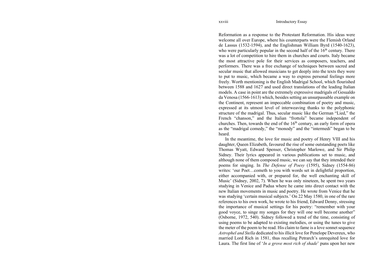Reformation as a response to the Protestant Reformation. His ideas were welcome all over Europe, where his counterparts were the Flemish Orland de Lassus (1532-1594), and the Englishman William Byrd (1540-1623), who were particularly popular in the second half of the  $16<sup>th</sup>$  century. There was a lot of competition to hire them in churches and courts. Italy became the most attractive pole for their services as composers, teachers, and performers. There was a free exchange of techniques between sacred and secular music that allowed musicians to get deeply into the texts they were to put to music, which became a way to express personal feelings more freely. Worth mentioning is the English Madrigal School, which flourished between 1588 and 1627 and used direct translations of the leading Italian models. A case in point are the extremely expressive madrigals of Gesualdo da Venosa (1566-1613) which, besides setting an unsurpassable example on the Continent, represent an impeccable combination of poetry and music, expressed at its utmost level of interweaving thanks to the polyphonic structure of the madrigal. Thus, secular music like the German "Lied," the French "chanson," and the Italian "frottola" became independent of churches. Then, towards the end of the  $16<sup>th</sup>$  century, an early form of opera as the "madrigal comedy," the "monody" and the "intermedi" began to be heard.

In the meantime, the love for music and poetry of Henry VIII and his daughter, Queen Elizabeth, favoured the rise of some outstanding poets like Thomas Wyatt, Edward Spenser, Christopher Marlowe, and Sir Philip Sidney. Their lyrics appeared in various publications set to music, and although none of them composed music, we can say that they intended their poems for singing. In *The Defense of Poesy* (1595), Sidney (1554-86) writes: 'our Poet…cometh to you with words set in delightful proportion, either accompanied with, or prepared for, the well enchanting skill of Music' (Sidney, 2002, 7). When he was only nineteen, he spent two years studying in Venice and Padua where he came into direct contact with the new Italian movements in music and poetry. He wrote from Venice that he was studying 'certain musical subjects.' On 22 May 1580, in one of the rare references to his own work, he wrote to his friend, Edward Denny, stressing the importance of musical settings for his poetry: "remember with your good voyce, to singe my songes for they will one well become another" (Osborne, 1972, 540). Sidney followed a trend of the time, consisting of using poems to be adapted to existing melodies, or using the tunes to give the meter of the poem to be read. His claim to fame is a love sonnet sequence *Astrophel and Stella* dedicated to his illicit love for Penelope Devereux, who married Lord Rich in 1581, thus recalling Petrarch's unrequited love for Laura. The first line of '*In a grove most rich of shade*' puns upon her new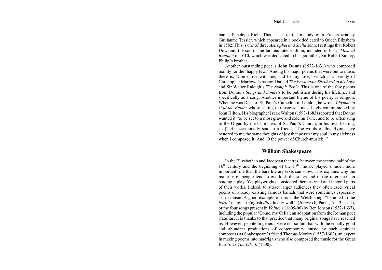#### Nick Ceramella xxix

name, Penelope Rich. This is set to the melody of a French aria by Guillaume Tessier, which appeared in a book dedicated to Queen Elizabeth in 1582. This is one of three *Astrophel and Stella* sonnet settings that Robert Dowland, the son of the famous lutenist John, included in his *A Musical Banquet* of 1610, which was dedicated to his godfather, Sir Robert Sidney, Philip's brother.

Another outstanding poet is **John Donne** (1572-1631) who composed mainly for the 'happy few.' Among his major poems that were put to music there is, 'Come live with me, and be my love,' which is a parody of Christopher Marlowe's pastoral ballad *The Passionate Shepherd to his Love* and Sir Walter Raleigh's *The Nymph Reply*. This is one of the few poems from Donne's *Songs and Sonnets* to be published during his lifetime, and specifically as a song. Another important theme of his poetry is religion. When he was Dean of St. Paul's Cathedral in London, he wrote *A hymne to God the Father* whose setting to music was most likely commissioned by John Hilton. His biographer Izaak Walton (1593-1683) reported that Donne wanted it "to be set to a most grave and solemn Tune, and to be often sung to the Organ by the Choristers of St. Paul's Church, in his own hearing; [...]" He occasionally said to a friend, "The words of this Hymn have restored to me the same thoughts of joy that possest my soul in my sickness when I composed it. And, O the power of Church-musick!"'

#### **William Shakespeare**

In the Elizabethan and Jacobean theatres, between the second half of the  $16<sup>th</sup>$  century and the beginning of the  $17<sup>th</sup>$ , music played a much more important role than the bare literary texts can show. This explains why the majority of people tend to overlook the songs and music references on reading a play. Yet playwrights considered them as vital and integral parts of their works. Indeed, to attract larger audiences they often used lyrical poems of already existing famous ballads that were sometimes especially set to music. A good example of this is the Welsh song, "I framed to the *harp* / many an English *ditty* lovely well." (*Henry IV,* Part I, Act 3, sc. 1), or the four songs present in *Volpone* (1605-06) by Ben Jonson (1532-1637), including the popular 'Come, my Celia', an adaptation from the Roman poet Catullus. It is thanks to that practice that many original songs have reached us. However, people in general were not so familiar with the equally good and abundant productions of contemporary music by such eminent composers as Shakespeare's friend Thomas Morley (1557-1602), an expert in making poems into madrigals who also composed the music for the Great Bard's *As You Like It* (1600).